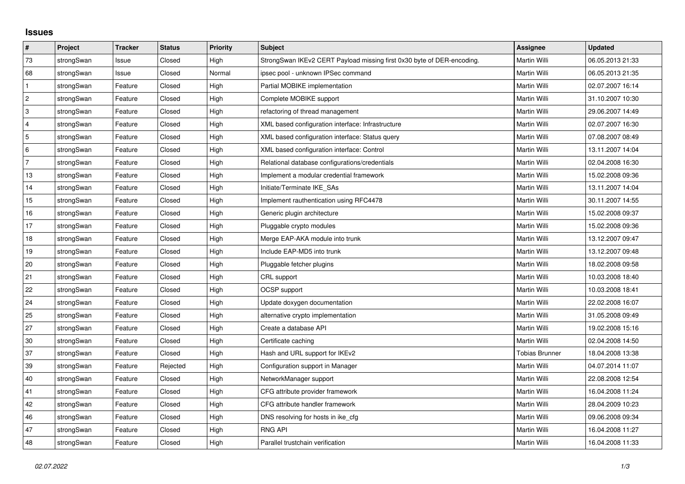## **Issues**

| #              | Project    | <b>Tracker</b> | <b>Status</b> | <b>Priority</b> | <b>Subject</b>                                                         | <b>Assignee</b>       | <b>Updated</b>   |
|----------------|------------|----------------|---------------|-----------------|------------------------------------------------------------------------|-----------------------|------------------|
| 73             | strongSwan | Issue          | Closed        | High            | StrongSwan IKEv2 CERT Payload missing first 0x30 byte of DER-encoding. | <b>Martin Willi</b>   | 06.05.2013 21:33 |
| 68             | strongSwan | Issue          | Closed        | Normal          | ipsec pool - unknown IPSec command                                     | Martin Willi          | 06.05.2013 21:35 |
| $\mathbf{1}$   | strongSwan | Feature        | Closed        | High            | Partial MOBIKE implementation                                          | Martin Willi          | 02.07.2007 16:14 |
| $\overline{2}$ | strongSwan | Feature        | Closed        | High            | Complete MOBIKE support                                                | Martin Willi          | 31.10.2007 10:30 |
| 3              | strongSwan | Feature        | Closed        | High            | refactoring of thread management                                       | Martin Willi          | 29.06.2007 14:49 |
| 4              | strongSwan | Feature        | Closed        | High            | XML based configuration interface: Infrastructure                      | Martin Willi          | 02.07.2007 16:30 |
| 5              | strongSwan | Feature        | Closed        | High            | XML based configuration interface: Status query                        | Martin Willi          | 07.08.2007 08:49 |
| 6              | strongSwan | Feature        | Closed        | High            | XML based configuration interface: Control                             | Martin Willi          | 13.11.2007 14:04 |
| $\overline{7}$ | strongSwan | Feature        | Closed        | High            | Relational database configurations/credentials                         | Martin Willi          | 02.04.2008 16:30 |
| 13             | strongSwan | Feature        | Closed        | High            | Implement a modular credential framework                               | Martin Willi          | 15.02.2008 09:36 |
| 14             | strongSwan | Feature        | Closed        | High            | Initiate/Terminate IKE_SAs                                             | Martin Willi          | 13.11.2007 14:04 |
| 15             | strongSwan | Feature        | Closed        | High            | Implement rauthentication using RFC4478                                | Martin Willi          | 30.11.2007 14:55 |
| 16             | strongSwan | Feature        | Closed        | High            | Generic plugin architecture                                            | Martin Willi          | 15.02.2008 09:37 |
| 17             | strongSwan | Feature        | Closed        | High            | Pluggable crypto modules                                               | Martin Willi          | 15.02.2008 09:36 |
| 18             | strongSwan | Feature        | Closed        | High            | Merge EAP-AKA module into trunk                                        | Martin Willi          | 13.12.2007 09:47 |
| 19             | strongSwan | Feature        | Closed        | High            | Include EAP-MD5 into trunk                                             | Martin Willi          | 13.12.2007 09:48 |
| 20             | strongSwan | Feature        | Closed        | High            | Pluggable fetcher plugins                                              | Martin Willi          | 18.02.2008 09:58 |
| 21             | strongSwan | Feature        | Closed        | High            | CRL support                                                            | Martin Willi          | 10.03.2008 18:40 |
| 22             | strongSwan | Feature        | Closed        | High            | OCSP support                                                           | Martin Willi          | 10.03.2008 18:41 |
| 24             | strongSwan | Feature        | Closed        | High            | Update doxygen documentation                                           | Martin Willi          | 22.02.2008 16:07 |
| 25             | strongSwan | Feature        | Closed        | High            | alternative crypto implementation                                      | Martin Willi          | 31.05.2008 09:49 |
| 27             | strongSwan | Feature        | Closed        | High            | Create a database API                                                  | Martin Willi          | 19.02.2008 15:16 |
| 30             | strongSwan | Feature        | Closed        | High            | Certificate caching                                                    | Martin Willi          | 02.04.2008 14:50 |
| 37             | strongSwan | Feature        | Closed        | High            | Hash and URL support for IKEv2                                         | <b>Tobias Brunner</b> | 18.04.2008 13:38 |
| 39             | strongSwan | Feature        | Rejected      | High            | Configuration support in Manager                                       | Martin Willi          | 04.07.2014 11:07 |
| 40             | strongSwan | Feature        | Closed        | High            | NetworkManager support                                                 | Martin Willi          | 22.08.2008 12:54 |
| 41             | strongSwan | Feature        | Closed        | High            | CFG attribute provider framework                                       | Martin Willi          | 16.04.2008 11:24 |
| 42             | strongSwan | Feature        | Closed        | High            | CFG attribute handler framework                                        | Martin Willi          | 28.04.2009 10:23 |
| 46             | strongSwan | Feature        | Closed        | High            | DNS resolving for hosts in ike cfg                                     | Martin Willi          | 09.06.2008 09:34 |
| 47             | strongSwan | Feature        | Closed        | High            | <b>RNG API</b>                                                         | Martin Willi          | 16.04.2008 11:27 |
| 48             | strongSwan | Feature        | Closed        | High            | Parallel trustchain verification                                       | <b>Martin Willi</b>   | 16.04.2008 11:33 |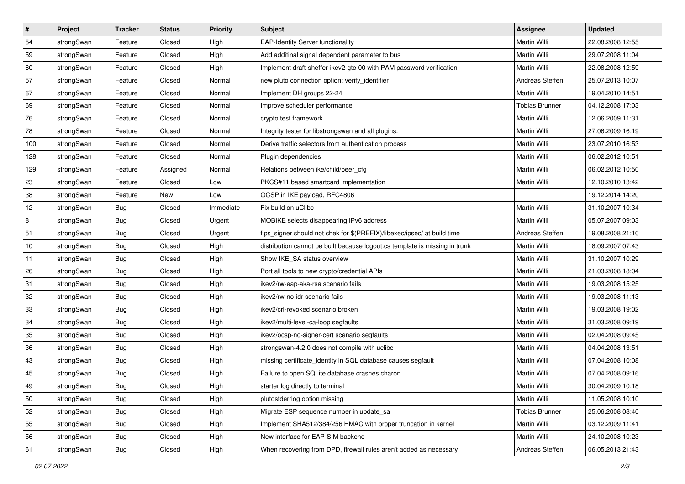| $\vert$ # | Project    | <b>Tracker</b> | <b>Status</b> | <b>Priority</b> | <b>Subject</b>                                                              | <b>Assignee</b>       | <b>Updated</b>   |
|-----------|------------|----------------|---------------|-----------------|-----------------------------------------------------------------------------|-----------------------|------------------|
| 54        | strongSwan | Feature        | Closed        | High            | <b>EAP-Identity Server functionality</b>                                    | Martin Willi          | 22.08.2008 12:55 |
| 59        | strongSwan | Feature        | Closed        | High            | Add additinal signal dependent parameter to bus                             | Martin Willi          | 29.07.2008 11:04 |
| 60        | strongSwan | Feature        | Closed        | High            | Implement draft-sheffer-ikev2-gtc-00 with PAM password verification         | Martin Willi          | 22.08.2008 12:59 |
| 57        | strongSwan | Feature        | Closed        | Normal          | new pluto connection option: verify_identifier                              | Andreas Steffen       | 25.07.2013 10:07 |
| 67        | strongSwan | Feature        | Closed        | Normal          | Implement DH groups 22-24                                                   | Martin Willi          | 19.04.2010 14:51 |
| 69        | strongSwan | Feature        | Closed        | Normal          | Improve scheduler performance                                               | <b>Tobias Brunner</b> | 04.12.2008 17:03 |
| 76        | strongSwan | Feature        | Closed        | Normal          | crypto test framework                                                       | <b>Martin Willi</b>   | 12.06.2009 11:31 |
| 78        | strongSwan | Feature        | Closed        | Normal          | Integrity tester for libstrongswan and all plugins.                         | Martin Willi          | 27.06.2009 16:19 |
| 100       | strongSwan | Feature        | Closed        | Normal          | Derive traffic selectors from authentication process                        | Martin Willi          | 23.07.2010 16:53 |
| 128       | strongSwan | Feature        | Closed        | Normal          | Plugin dependencies                                                         | Martin Willi          | 06.02.2012 10:51 |
| 129       | strongSwan | Feature        | Assigned      | Normal          | Relations between ike/child/peer cfg                                        | Martin Willi          | 06.02.2012 10:50 |
| 23        | strongSwan | Feature        | Closed        | Low             | PKCS#11 based smartcard implementation                                      | Martin Willi          | 12.10.2010 13:42 |
| 38        | strongSwan | Feature        | <b>New</b>    | Low             | OCSP in IKE payload, RFC4806                                                |                       | 19.12.2014 14:20 |
| 12        | strongSwan | <b>Bug</b>     | Closed        | Immediate       | Fix build on uClibc                                                         | Martin Willi          | 31.10.2007 10:34 |
| 8         | strongSwan | Bug            | Closed        | Urgent          | MOBIKE selects disappearing IPv6 address                                    | Martin Willi          | 05.07.2007 09:03 |
| 51        | strongSwan | <b>Bug</b>     | Closed        | Urgent          | fips signer should not chek for \$(PREFIX)/libexec/ipsec/ at build time     | Andreas Steffen       | 19.08.2008 21:10 |
| 10        | strongSwan | <b>Bug</b>     | Closed        | High            | distribution cannot be built because logout.cs template is missing in trunk | <b>Martin Willi</b>   | 18.09.2007 07:43 |
| 11        | strongSwan | Bug            | Closed        | High            | Show IKE_SA status overview                                                 | Martin Willi          | 31.10.2007 10:29 |
| 26        | strongSwan | <b>Bug</b>     | Closed        | High            | Port all tools to new crypto/credential APIs                                | Martin Willi          | 21.03.2008 18:04 |
| 31        | strongSwan | Bug            | Closed        | High            | ikev2/rw-eap-aka-rsa scenario fails                                         | Martin Willi          | 19.03.2008 15:25 |
| 32        | strongSwan | <b>Bug</b>     | Closed        | High            | ikev2/rw-no-idr scenario fails                                              | Martin Willi          | 19.03.2008 11:13 |
| 33        | strongSwan | <b>Bug</b>     | Closed        | High            | ikev2/crl-revoked scenario broken                                           | Martin Willi          | 19.03.2008 19:02 |
| 34        | strongSwan | Bug            | Closed        | High            | ikev2/multi-level-ca-loop segfaults                                         | Martin Willi          | 31.03.2008 09:19 |
| 35        | strongSwan | <b>Bug</b>     | Closed        | High            | ikev2/ocsp-no-signer-cert scenario segfaults                                | Martin Willi          | 02.04.2008 09:45 |
| 36        | strongSwan | <b>Bug</b>     | Closed        | High            | strongswan-4.2.0 does not compile with uclibc                               | Martin Willi          | 04.04.2008 13:51 |
| 43        | strongSwan | <b>Bug</b>     | Closed        | High            | missing certificate_identity in SQL database causes segfault                | Martin Willi          | 07.04.2008 10:08 |
| 45        | strongSwan | Bug            | Closed        | High            | Failure to open SQLite database crashes charon                              | Martin Willi          | 07.04.2008 09:16 |
| 49        | strongSwan | Bug            | Closed        | High            | starter log directly to terminal                                            | Martin Willi          | 30.04.2009 10:18 |
| 50        | strongSwan | Bug            | Closed        | High            | plutostderrlog option missing                                               | Martin Willi          | 11.05.2008 10:10 |
| 52        | strongSwan | Bug            | Closed        | High            | Migrate ESP sequence number in update_sa                                    | <b>Tobias Brunner</b> | 25.06.2008 08:40 |
| 55        | strongSwan | Bug            | Closed        | High            | Implement SHA512/384/256 HMAC with proper truncation in kernel              | Martin Willi          | 03.12.2009 11:41 |
| 56        | strongSwan | Bug            | Closed        | High            | New interface for EAP-SIM backend                                           | Martin Willi          | 24.10.2008 10:23 |
| 61        | strongSwan | Bug            | Closed        | High            | When recovering from DPD, firewall rules aren't added as necessary          | Andreas Steffen       | 06.05.2013 21:43 |